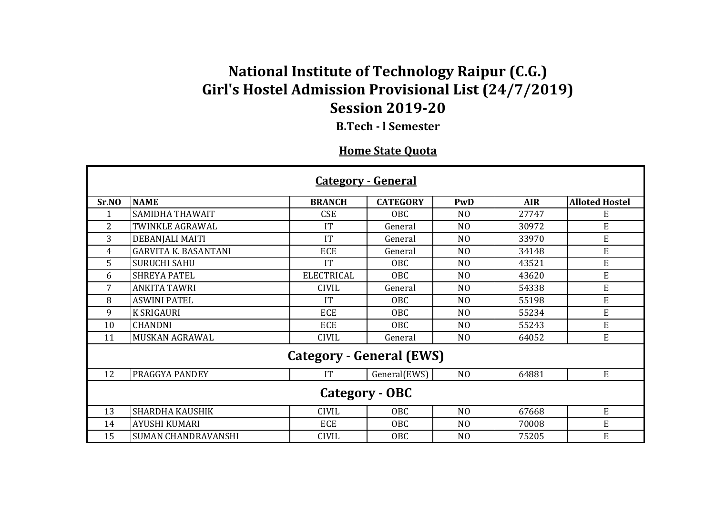## **National Institute of Technology Raipur (C.G.) Girl's Hostel Admission Provisional List (24/7/2019) Session 2019-20**

**B.Tech - l Semester**

## **Home State Quota**

| <b>Category - General</b>       |                             |                   |                 |                |            |                       |  |  |  |  |
|---------------------------------|-----------------------------|-------------------|-----------------|----------------|------------|-----------------------|--|--|--|--|
| Sr.NO                           | <b>NAME</b>                 | <b>BRANCH</b>     | <b>CATEGORY</b> | PwD            | <b>AIR</b> | <b>Alloted Hostel</b> |  |  |  |  |
|                                 | <b>SAMIDHA THAWAIT</b>      | <b>CSE</b>        | OBC             | N <sub>0</sub> | 27747      | E                     |  |  |  |  |
| 2                               | <b>TWINKLE AGRAWAL</b>      | IT                | General         | N <sub>O</sub> | 30972      | E                     |  |  |  |  |
| 3                               | DEBANJALI MAITI             | IT                | General         | N <sub>O</sub> | 33970      | E                     |  |  |  |  |
| 4                               | <b>GARVITA K. BASANTANI</b> | <b>ECE</b>        | General         | N <sub>O</sub> | 34148      | E                     |  |  |  |  |
| 5                               | <b>SURUCHI SAHU</b>         | IT                | <b>OBC</b>      | N <sub>O</sub> | 43521      | E                     |  |  |  |  |
| 6                               | <b>SHREYA PATEL</b>         | <b>ELECTRICAL</b> | <b>OBC</b>      | N <sub>O</sub> | 43620      | E                     |  |  |  |  |
| 7                               | <b>ANKITA TAWRI</b>         | <b>CIVIL</b>      | General         | N <sub>0</sub> | 54338      | E                     |  |  |  |  |
| 8                               | <b>ASWINI PATEL</b>         | IT                | OBC             | N <sub>O</sub> | 55198      | E                     |  |  |  |  |
| 9                               | <b>K SRIGAURI</b>           | <b>ECE</b>        | <b>OBC</b>      | N <sub>O</sub> | 55234      | E                     |  |  |  |  |
| 10                              | <b>CHANDNI</b>              | <b>ECE</b>        | <b>OBC</b>      | N <sub>0</sub> | 55243      | E                     |  |  |  |  |
| 11                              | <b>MUSKAN AGRAWAL</b>       | <b>CIVIL</b>      | General         | N <sub>O</sub> | 64052      | ${\bf E}$             |  |  |  |  |
| <b>Category - General (EWS)</b> |                             |                   |                 |                |            |                       |  |  |  |  |
| 12                              | <b>PRAGGYA PANDEY</b>       | IT                | General(EWS)    | N <sub>O</sub> | 64881      | E                     |  |  |  |  |
| Category - OBC                  |                             |                   |                 |                |            |                       |  |  |  |  |
| 13                              | <b>SHARDHA KAUSHIK</b>      | <b>CIVIL</b>      | <b>OBC</b>      | N <sub>O</sub> | 67668      | E                     |  |  |  |  |
| 14                              | <b>AYUSHI KUMARI</b>        | <b>ECE</b>        | OBC             | N <sub>O</sub> | 70008      | E                     |  |  |  |  |
| 15                              | <b>SUMAN CHANDRAVANSHI</b>  | <b>CIVIL</b>      | OBC             | N <sub>0</sub> | 75205      | E                     |  |  |  |  |